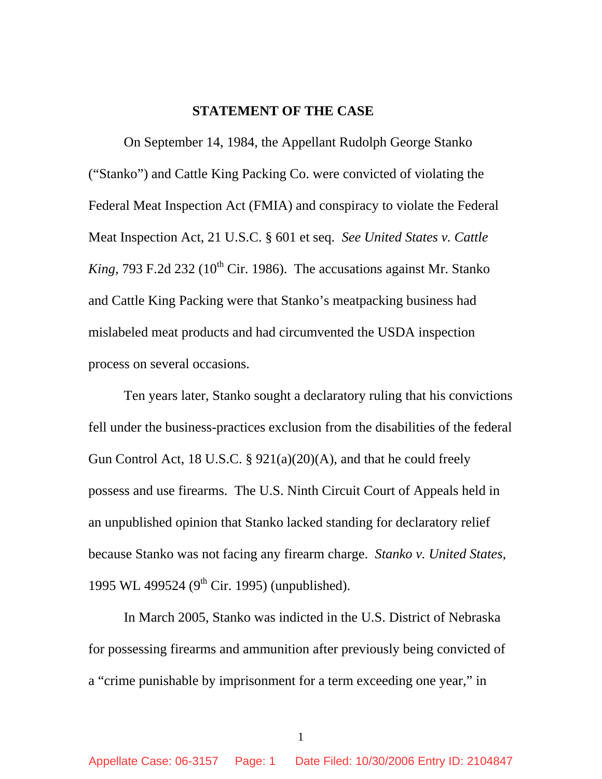#### **STATEMENT OF THE CASE**

On September 14, 1984, the Appellant Rudolph George Stanko ("Stanko") and Cattle King Packing Co. were convicted of violating the Federal Meat Inspection Act (FMIA) and conspiracy to violate the Federal Meat Inspection Act, 21 U.S.C. § 601 et seq. *See United States v. Cattle King*, 793 F.2d 232 ( $10^{th}$  Cir. 1986). The accusations against Mr. Stanko and Cattle King Packing were that Stanko's meatpacking business had mislabeled meat products and had circumvented the USDA inspection process on several occasions.

 Ten years later, Stanko sought a declaratory ruling that his convictions fell under the business-practices exclusion from the disabilities of the federal Gun Control Act, 18 U.S.C. § 921(a)(20)(A), and that he could freely possess and use firearms. The U.S. Ninth Circuit Court of Appeals held in an unpublished opinion that Stanko lacked standing for declaratory relief because Stanko was not facing any firearm charge. *Stanko v. United States*, 1995 WL 499524 ( $9<sup>th</sup>$  Cir. 1995) (unpublished).

In March 2005, Stanko was indicted in the U.S. District of Nebraska for possessing firearms and ammunition after previously being convicted of a "crime punishable by imprisonment for a term exceeding one year," in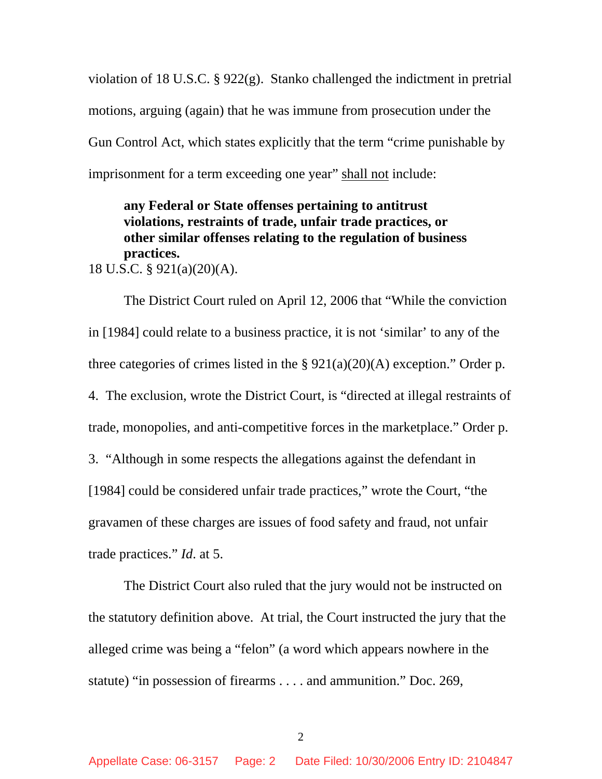violation of 18 U.S.C. § 922(g). Stanko challenged the indictment in pretrial motions, arguing (again) that he was immune from prosecution under the Gun Control Act, which states explicitly that the term "crime punishable by imprisonment for a term exceeding one year" shall not include:

**any Federal or State offenses pertaining to antitrust violations, restraints of trade, unfair trade practices, or other similar offenses relating to the regulation of business practices.** 18 U.S.C. § 921(a)(20)(A).

 The District Court ruled on April 12, 2006 that "While the conviction in [1984] could relate to a business practice, it is not 'similar' to any of the three categories of crimes listed in the  $\S 921(a)(20)(A)$  exception." Order p. 4. The exclusion, wrote the District Court, is "directed at illegal restraints of trade, monopolies, and anti-competitive forces in the marketplace." Order p. 3. "Although in some respects the allegations against the defendant in [1984] could be considered unfair trade practices," wrote the Court, "the gravamen of these charges are issues of food safety and fraud, not unfair trade practices." *Id*. at 5.

The District Court also ruled that the jury would not be instructed on the statutory definition above. At trial, the Court instructed the jury that the alleged crime was being a "felon" (a word which appears nowhere in the statute) "in possession of firearms . . . . and ammunition." Doc. 269,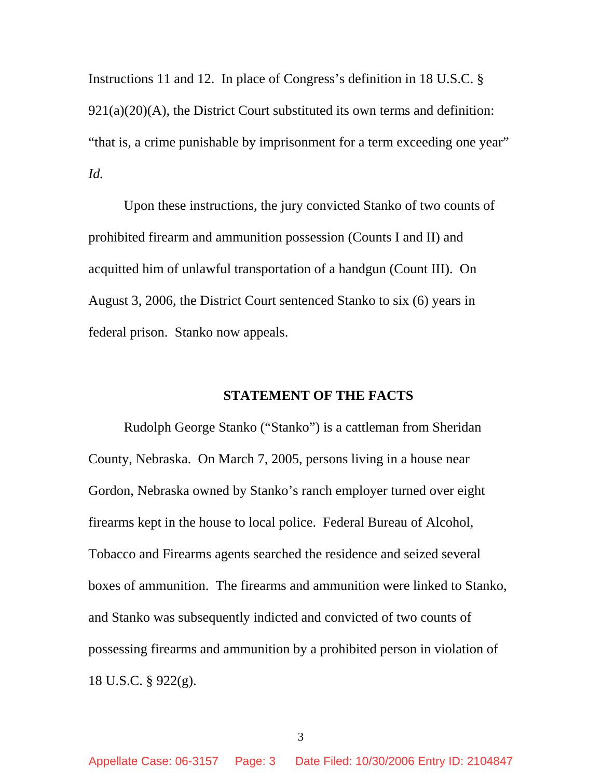Instructions 11 and 12. In place of Congress's definition in 18 U.S.C. §  $921(a)(20)(A)$ , the District Court substituted its own terms and definition: "that is, a crime punishable by imprisonment for a term exceeding one year" *Id.* 

Upon these instructions, the jury convicted Stanko of two counts of prohibited firearm and ammunition possession (Counts I and II) and acquitted him of unlawful transportation of a handgun (Count III). On August 3, 2006, the District Court sentenced Stanko to six (6) years in federal prison. Stanko now appeals.

#### **STATEMENT OF THE FACTS**

Rudolph George Stanko ("Stanko") is a cattleman from Sheridan County, Nebraska. On March 7, 2005, persons living in a house near Gordon, Nebraska owned by Stanko's ranch employer turned over eight firearms kept in the house to local police. Federal Bureau of Alcohol, Tobacco and Firearms agents searched the residence and seized several boxes of ammunition. The firearms and ammunition were linked to Stanko, and Stanko was subsequently indicted and convicted of two counts of possessing firearms and ammunition by a prohibited person in violation of 18 U.S.C. § 922(g).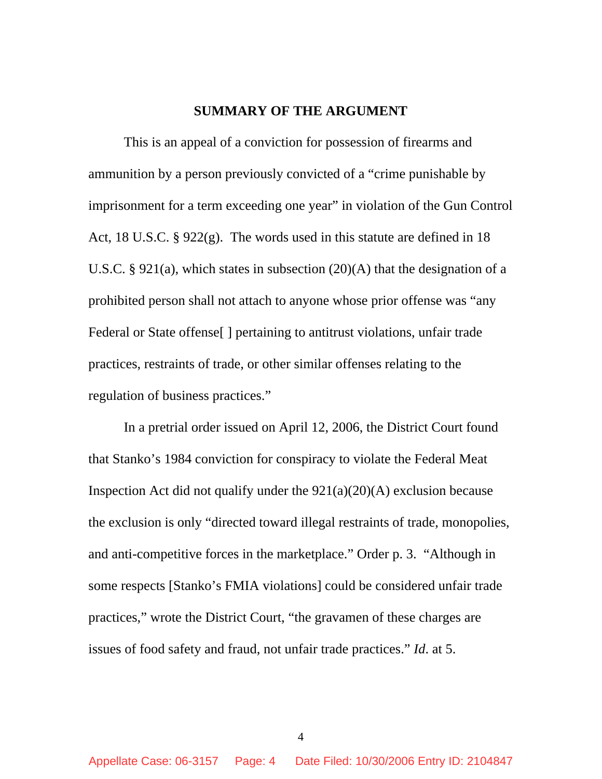#### **SUMMARY OF THE ARGUMENT**

 This is an appeal of a conviction for possession of firearms and ammunition by a person previously convicted of a "crime punishable by imprisonment for a term exceeding one year" in violation of the Gun Control Act, 18 U.S.C. § 922(g). The words used in this statute are defined in 18 U.S.C. § 921(a), which states in subsection (20)(A) that the designation of a prohibited person shall not attach to anyone whose prior offense was "any Federal or State offense[ ] pertaining to antitrust violations, unfair trade practices, restraints of trade, or other similar offenses relating to the regulation of business practices."

 In a pretrial order issued on April 12, 2006, the District Court found that Stanko's 1984 conviction for conspiracy to violate the Federal Meat Inspection Act did not qualify under the 921(a)(20)(A) exclusion because the exclusion is only "directed toward illegal restraints of trade, monopolies, and anti-competitive forces in the marketplace." Order p. 3. "Although in some respects [Stanko's FMIA violations] could be considered unfair trade practices," wrote the District Court, "the gravamen of these charges are issues of food safety and fraud, not unfair trade practices." *Id*. at 5.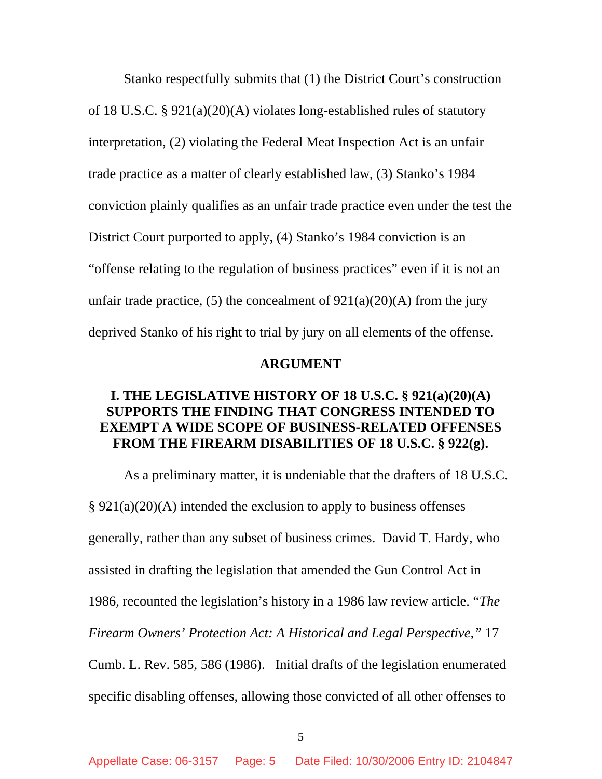Stanko respectfully submits that (1) the District Court's construction of 18 U.S.C. § 921(a)(20)(A) violates long-established rules of statutory interpretation, (2) violating the Federal Meat Inspection Act is an unfair trade practice as a matter of clearly established law, (3) Stanko's 1984 conviction plainly qualifies as an unfair trade practice even under the test the District Court purported to apply, (4) Stanko's 1984 conviction is an "offense relating to the regulation of business practices" even if it is not an unfair trade practice, (5) the concealment of  $921(a)(20)(A)$  from the jury deprived Stanko of his right to trial by jury on all elements of the offense.

#### **ARGUMENT**

## **I. THE LEGISLATIVE HISTORY OF 18 U.S.C. § 921(a)(20)(A) SUPPORTS THE FINDING THAT CONGRESS INTENDED TO EXEMPT A WIDE SCOPE OF BUSINESS-RELATED OFFENSES FROM THE FIREARM DISABILITIES OF 18 U.S.C. § 922(g).**

As a preliminary matter, it is undeniable that the drafters of 18 U.S.C. § 921(a)(20)(A) intended the exclusion to apply to business offenses generally, rather than any subset of business crimes. David T. Hardy, who assisted in drafting the legislation that amended the Gun Control Act in 1986, recounted the legislation's history in a 1986 law review article. "*The Firearm Owners' Protection Act: A Historical and Legal Perspective,"* 17 Cumb. L. Rev. 585, 586 (1986). Initial drafts of the legislation enumerated specific disabling offenses, allowing those convicted of all other offenses to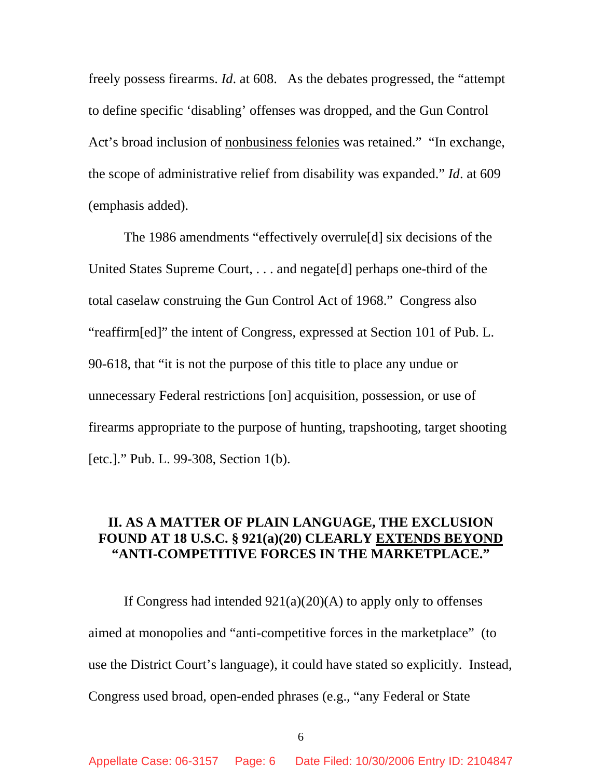freely possess firearms. *Id*. at 608. As the debates progressed, the "attempt to define specific 'disabling' offenses was dropped, and the Gun Control Act's broad inclusion of nonbusiness felonies was retained." "In exchange, the scope of administrative relief from disability was expanded." *Id*. at 609 (emphasis added).

The 1986 amendments "effectively overrule[d] six decisions of the United States Supreme Court, . . . and negate[d] perhaps one-third of the total caselaw construing the Gun Control Act of 1968." Congress also "reaffirm[ed]" the intent of Congress, expressed at Section 101 of Pub. L. 90-618, that "it is not the purpose of this title to place any undue or unnecessary Federal restrictions [on] acquisition, possession, or use of firearms appropriate to the purpose of hunting, trapshooting, target shooting [etc.]." Pub. L. 99-308, Section 1(b).

## **II. AS A MATTER OF PLAIN LANGUAGE, THE EXCLUSION FOUND AT 18 U.S.C. § 921(a)(20) CLEARLY EXTENDS BEYOND "ANTI-COMPETITIVE FORCES IN THE MARKETPLACE."**

 If Congress had intended 921(a)(20)(A) to apply only to offenses aimed at monopolies and "anti-competitive forces in the marketplace" (to use the District Court's language), it could have stated so explicitly. Instead, Congress used broad, open-ended phrases (e.g., "any Federal or State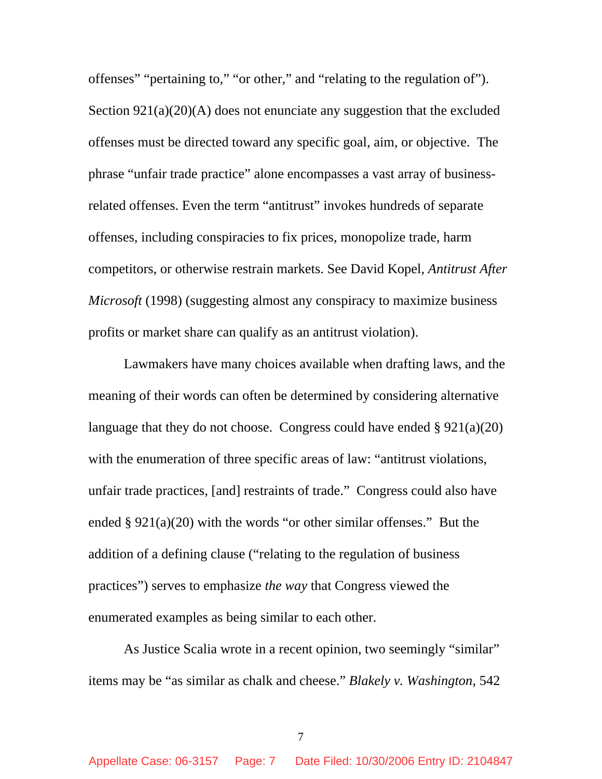offenses" "pertaining to," "or other," and "relating to the regulation of"). Section 921(a)(20)(A) does not enunciate any suggestion that the excluded offenses must be directed toward any specific goal, aim, or objective. The phrase "unfair trade practice" alone encompasses a vast array of businessrelated offenses. Even the term "antitrust" invokes hundreds of separate offenses, including conspiracies to fix prices, monopolize trade, harm competitors, or otherwise restrain markets. See David Kopel, *Antitrust After Microsoft* (1998) (suggesting almost any conspiracy to maximize business profits or market share can qualify as an antitrust violation).

 Lawmakers have many choices available when drafting laws, and the meaning of their words can often be determined by considering alternative language that they do not choose. Congress could have ended § 921(a)(20) with the enumeration of three specific areas of law: "antitrust violations, unfair trade practices, [and] restraints of trade." Congress could also have ended  $\S 921(a)(20)$  with the words "or other similar offenses." But the addition of a defining clause ("relating to the regulation of business practices") serves to emphasize *the way* that Congress viewed the enumerated examples as being similar to each other.

 As Justice Scalia wrote in a recent opinion, two seemingly "similar" items may be "as similar as chalk and cheese." *Blakely v. Washington*, 542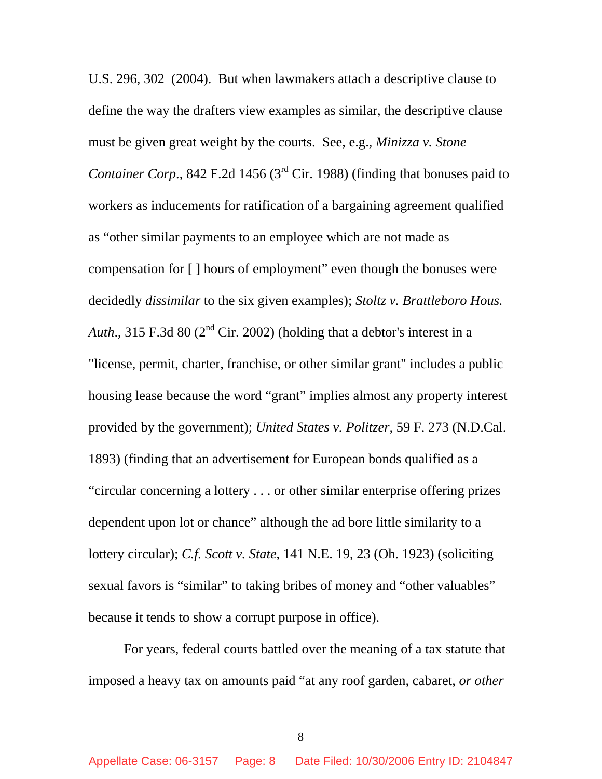U.S. 296, 302 (2004). But when lawmakers attach a descriptive clause to define the way the drafters view examples as similar, the descriptive clause must be given great weight by the courts. See, e.g., *Minizza v. Stone Container Corp.*, 842 F.2d 1456 (3<sup>rd</sup> Cir. 1988) (finding that bonuses paid to workers as inducements for ratification of a bargaining agreement qualified as "other similar payments to an employee which are not made as compensation for [ ] hours of employment" even though the bonuses were decidedly *dissimilar* to the six given examples); *Stoltz v. Brattleboro Hous. Auth.*, 315 F.3d 80 ( $2<sup>nd</sup>$  Cir. 2002) (holding that a debtor's interest in a "license, permit, charter, franchise, or other similar grant" includes a public housing lease because the word "grant" implies almost any property interest provided by the government); *United States v. Politzer*, 59 F. 273 (N.D.Cal. 1893) (finding that an advertisement for European bonds qualified as a "circular concerning a lottery . . . or other similar enterprise offering prizes dependent upon lot or chance" although the ad bore little similarity to a lottery circular); *C.f. Scott v. State*, 141 N.E. 19, 23 (Oh. 1923) (soliciting sexual favors is "similar" to taking bribes of money and "other valuables" because it tends to show a corrupt purpose in office).

For years, federal courts battled over the meaning of a tax statute that imposed a heavy tax on amounts paid "at any roof garden, cabaret, *or other*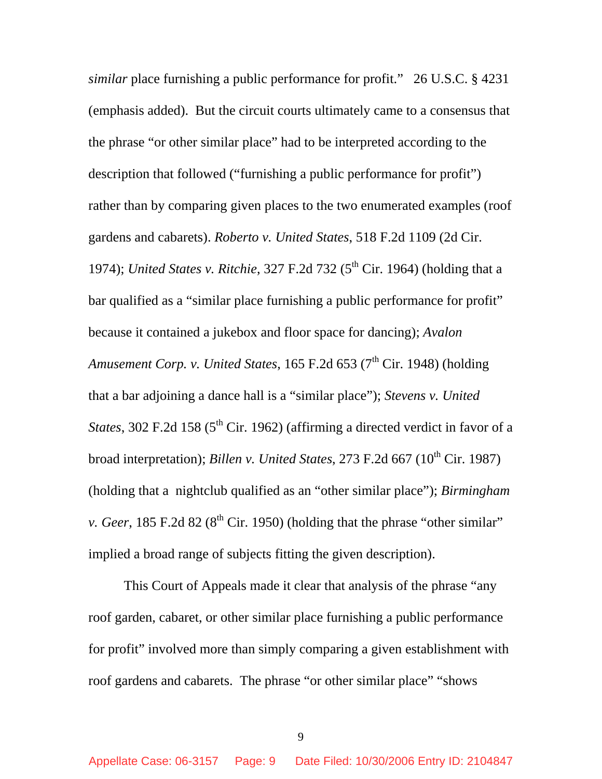*similar* place furnishing a public performance for profit." 26 U.S.C. § 4231 (emphasis added). But the circuit courts ultimately came to a consensus that the phrase "or other similar place" had to be interpreted according to the description that followed ("furnishing a public performance for profit") rather than by comparing given places to the two enumerated examples (roof gardens and cabarets). *Roberto v. United States*, 518 F.2d 1109 (2d Cir. 1974); *United States v. Ritchie*, 327 F.2d 732 (5<sup>th</sup> Cir. 1964) (holding that a bar qualified as a "similar place furnishing a public performance for profit" because it contained a jukebox and floor space for dancing); *Avalon Amusement Corp. v. United States, 165 F.2d 653 (7<sup>th</sup> Cir. 1948) (holding* that a bar adjoining a dance hall is a "similar place"); *Stevens v. United States*, 302 F.2d 158 ( $5<sup>th</sup>$  Cir. 1962) (affirming a directed verdict in favor of a broad interpretation); *Billen v. United States*, 273 F.2d 667 (10<sup>th</sup> Cir. 1987) (holding that a nightclub qualified as an "other similar place"); *Birmingham v. Geer*, 185 F.2d 82 ( $8<sup>th</sup>$  Cir. 1950) (holding that the phrase "other similar" implied a broad range of subjects fitting the given description).

 This Court of Appeals made it clear that analysis of the phrase "any roof garden, cabaret, or other similar place furnishing a public performance for profit" involved more than simply comparing a given establishment with roof gardens and cabarets. The phrase "or other similar place" "shows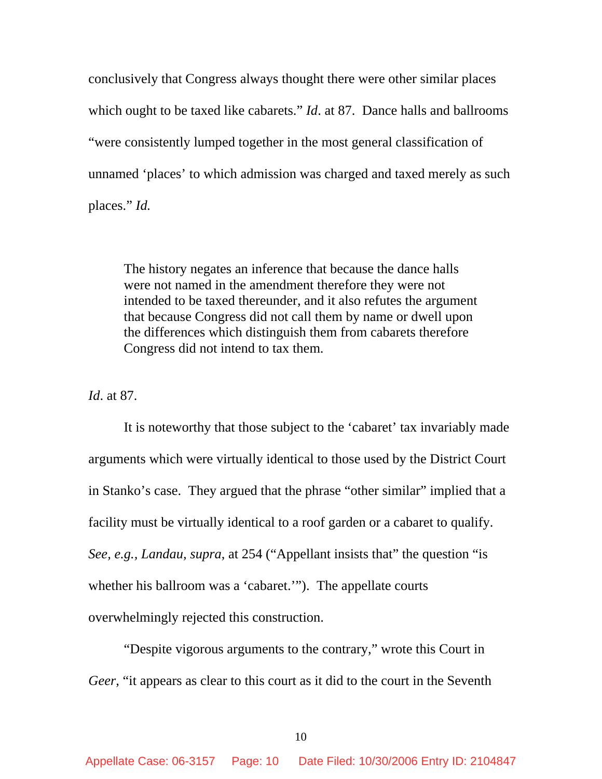conclusively that Congress always thought there were other similar places which ought to be taxed like cabarets." *Id*. at 87. Dance halls and ballrooms "were consistently lumped together in the most general classification of unnamed 'places' to which admission was charged and taxed merely as such places." *Id.*

The history negates an inference that because the dance halls were not named in the amendment therefore they were not intended to be taxed thereunder, and it also refutes the argument that because Congress did not call them by name or dwell upon the differences which distinguish them from cabarets therefore Congress did not intend to tax them.

*Id*. at 87.

It is noteworthy that those subject to the 'cabaret' tax invariably made arguments which were virtually identical to those used by the District Court in Stanko's case. They argued that the phrase "other similar" implied that a facility must be virtually identical to a roof garden or a cabaret to qualify. *See, e.g., Landau, supra*, at 254 ("Appellant insists that" the question "is whether his ballroom was a 'cabaret.'"). The appellate courts overwhelmingly rejected this construction.

"Despite vigorous arguments to the contrary," wrote this Court in *Geer*, "it appears as clear to this court as it did to the court in the Seventh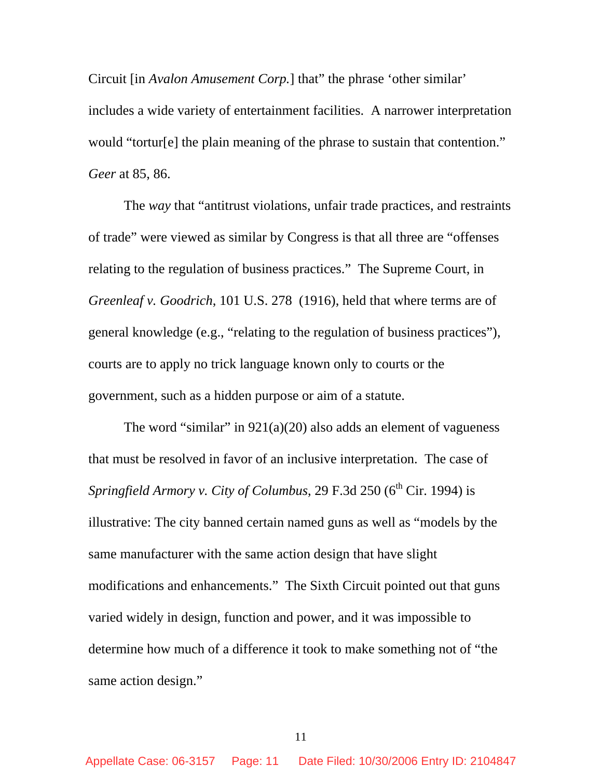Circuit [in *Avalon Amusement Corp.*] that" the phrase 'other similar' includes a wide variety of entertainment facilities. A narrower interpretation would "tortur[e] the plain meaning of the phrase to sustain that contention." *Geer* at 85, 86.

 The *way* that "antitrust violations, unfair trade practices, and restraints of trade" were viewed as similar by Congress is that all three are "offenses relating to the regulation of business practices." The Supreme Court, in *Greenleaf v. Goodrich*, 101 U.S. 278 (1916), held that where terms are of general knowledge (e.g., "relating to the regulation of business practices"), courts are to apply no trick language known only to courts or the government, such as a hidden purpose or aim of a statute.

The word "similar" in 921(a)(20) also adds an element of vagueness that must be resolved in favor of an inclusive interpretation. The case of *Springfield Armory v. City of Columbus,* 29 F.3d 250 ( $6<sup>th</sup>$  Cir. 1994) is illustrative: The city banned certain named guns as well as "models by the same manufacturer with the same action design that have slight modifications and enhancements." The Sixth Circuit pointed out that guns varied widely in design, function and power, and it was impossible to determine how much of a difference it took to make something not of "the same action design."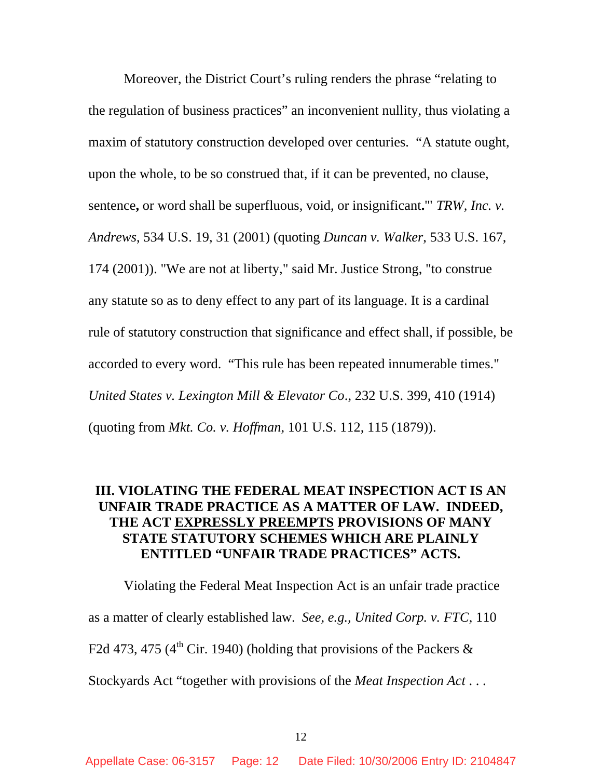Moreover, the District Court's ruling renders the phrase "relating to the regulation of business practices" an inconvenient nullity, thus violating a maxim of statutory construction developed over centuries. "A statute ought, upon the whole, to be so construed that, if it can be prevented, no clause, sentence**,** or word shall be superfluous, void, or insignificant**.**'" *TRW, Inc. v. Andrews*, 534 U.S. 19, 31 (2001) (quoting *Duncan v. Walker*, 533 U.S. 167, 174 (2001)). "We are not at liberty," said Mr. Justice Strong, "to construe any statute so as to deny effect to any part of its language. It is a cardinal rule of statutory construction that significance and effect shall, if possible, be accorded to every word. "This rule has been repeated innumerable times." *United States v. Lexington Mill & Elevator Co*., 232 U.S. 399, 410 (1914) (quoting from *Mkt. Co. v. Hoffman*, 101 U.S. 112, 115 (1879)).

## **III. VIOLATING THE FEDERAL MEAT INSPECTION ACT IS AN UNFAIR TRADE PRACTICE AS A MATTER OF LAW. INDEED, THE ACT EXPRESSLY PREEMPTS PROVISIONS OF MANY STATE STATUTORY SCHEMES WHICH ARE PLAINLY ENTITLED "UNFAIR TRADE PRACTICES" ACTS.**

Violating the Federal Meat Inspection Act is an unfair trade practice as a matter of clearly established law. *See, e.g., United Corp. v. FTC*, 110 F2d 473, 475 (4<sup>th</sup> Cir. 1940) (holding that provisions of the Packers  $\&$ Stockyards Act "together with provisions of the *Meat Inspection Act* . . .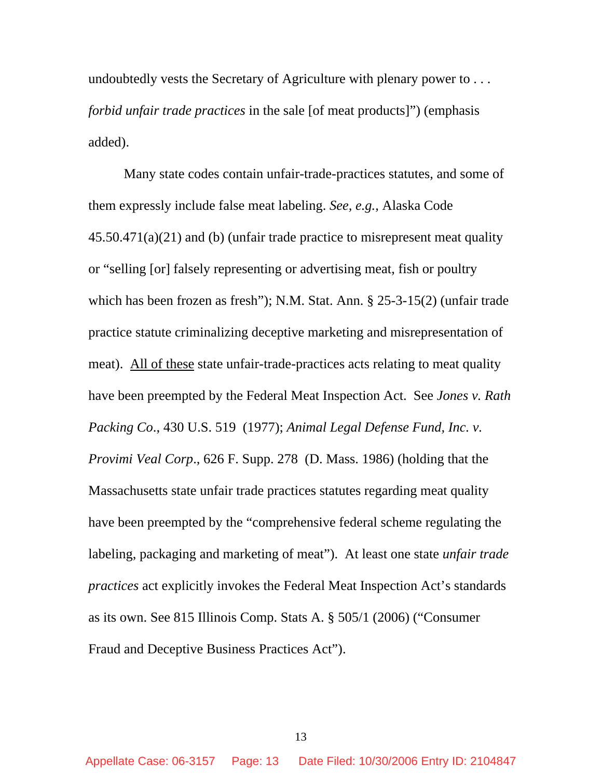undoubtedly vests the Secretary of Agriculture with plenary power to . . . *forbid unfair trade practices* in the sale [of meat products]") (emphasis added).

Many state codes contain unfair-trade-practices statutes, and some of them expressly include false meat labeling. *See, e.g.*, Alaska Code  $45.50.471(a)(21)$  and (b) (unfair trade practice to misrepresent meat quality or "selling [or] falsely representing or advertising meat, fish or poultry which has been frozen as fresh"); N.M. Stat. Ann. § 25-3-15(2) (unfair trade practice statute criminalizing deceptive marketing and misrepresentation of meat). All of these state unfair-trade-practices acts relating to meat quality have been preempted by the Federal Meat Inspection Act. See *Jones v. Rath Packing Co*., 430 U.S. 519 (1977); *Animal Legal Defense Fund, Inc. v. Provimi Veal Corp*., 626 F. Supp. 278 (D. Mass. 1986) (holding that the Massachusetts state unfair trade practices statutes regarding meat quality have been preempted by the "comprehensive federal scheme regulating the labeling, packaging and marketing of meat"). At least one state *unfair trade practices* act explicitly invokes the Federal Meat Inspection Act's standards as its own. See 815 Illinois Comp. Stats A. § 505/1 (2006) ("Consumer Fraud and Deceptive Business Practices Act").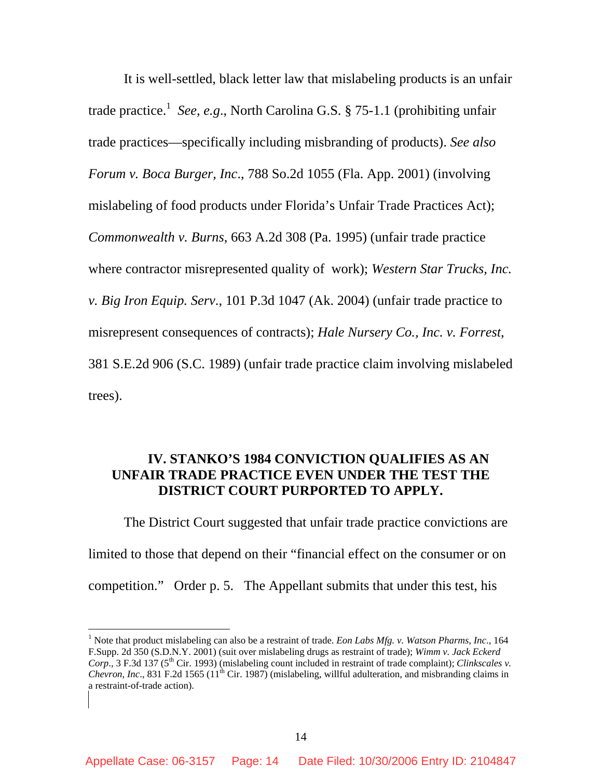It is well-settled, black letter law that mislabeling products is an unfair trade practice.<sup>1</sup> See, e.g., North Carolina G.S. § 75-1.1 (prohibiting unfair trade practices—specifically including misbranding of products). *See also Forum v. Boca Burger, Inc*., 788 So.2d 1055 (Fla. App. 2001) (involving mislabeling of food products under Florida's Unfair Trade Practices Act); *Commonwealth v. Burns*, 663 A.2d 308 (Pa. 1995) (unfair trade practice where contractor misrepresented quality of work); *Western Star Trucks, Inc. v. Big Iron Equip. Serv*., 101 P.3d 1047 (Ak. 2004) (unfair trade practice to misrepresent consequences of contracts); *Hale Nursery Co., Inc. v. Forrest*, 381 S.E.2d 906 (S.C. 1989) (unfair trade practice claim involving mislabeled trees).

#### **IV. STANKO'S 1984 CONVICTION QUALIFIES AS AN UNFAIR TRADE PRACTICE EVEN UNDER THE TEST THE DISTRICT COURT PURPORTED TO APPLY.**

The District Court suggested that unfair trade practice convictions are limited to those that depend on their "financial effect on the consumer or on competition." Order p. 5. The Appellant submits that under this test, his

 $\overline{a}$ 

<sup>&</sup>lt;sup>1</sup> Note that product mislabeling can also be a restraint of trade. *Eon Labs Mfg. v. Watson Pharms, Inc.*, 164 F.Supp. 2d 350 (S.D.N.Y. 2001) (suit over mislabeling drugs as restraint of trade); *Wimm v. Jack Eckerd Corp.*, 3 F.3d 137 (5<sup>th</sup> Cir. 1993) (mislabeling count included in restraint of trade complaint); *Clinkscales v. Chevron, Inc.*, 831 F.2d 1565 (11<sup>th</sup> Cir. 1987) (mislabeling, willful adulteration, and misbranding claims in a restraint-of-trade action).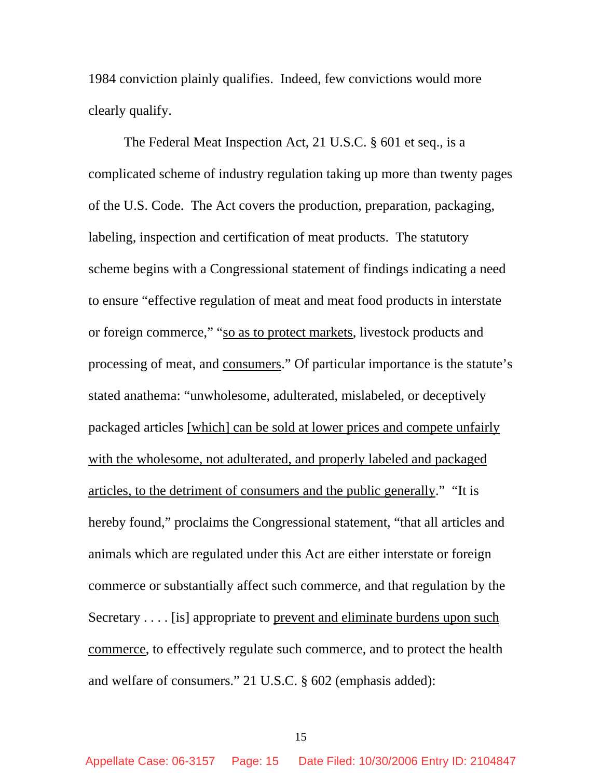1984 conviction plainly qualifies. Indeed, few convictions would more clearly qualify.

 The Federal Meat Inspection Act, 21 U.S.C. § 601 et seq., is a complicated scheme of industry regulation taking up more than twenty pages of the U.S. Code. The Act covers the production, preparation, packaging, labeling, inspection and certification of meat products. The statutory scheme begins with a Congressional statement of findings indicating a need to ensure "effective regulation of meat and meat food products in interstate or foreign commerce," "so as to protect markets, livestock products and processing of meat, and consumers." Of particular importance is the statute's stated anathema: "unwholesome, adulterated, mislabeled, or deceptively packaged articles [which] can be sold at lower prices and compete unfairly with the wholesome, not adulterated, and properly labeled and packaged articles, to the detriment of consumers and the public generally." "It is hereby found," proclaims the Congressional statement, "that all articles and animals which are regulated under this Act are either interstate or foreign commerce or substantially affect such commerce, and that regulation by the Secretary . . . . [is] appropriate to prevent and eliminate burdens upon such commerce, to effectively regulate such commerce, and to protect the health and welfare of consumers." 21 U.S.C. § 602 (emphasis added):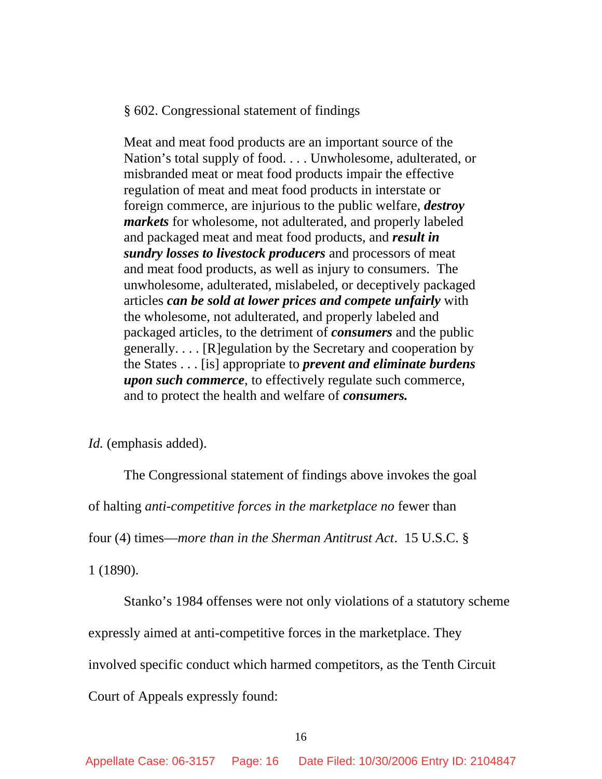#### § 602. Congressional statement of findings

Meat and meat food products are an important source of the Nation's total supply of food. . . . Unwholesome, adulterated, or misbranded meat or meat food products impair the effective regulation of meat and meat food products in interstate or foreign commerce, are injurious to the public welfare, *destroy markets* for wholesome, not adulterated, and properly labeled and packaged meat and meat food products, and *result in sundry losses to livestock producers* and processors of meat and meat food products, as well as injury to consumers. The unwholesome, adulterated, mislabeled, or deceptively packaged articles *can be sold at lower prices and compete unfairly* with the wholesome, not adulterated, and properly labeled and packaged articles, to the detriment of *consumers* and the public generally. . . . [R]egulation by the Secretary and cooperation by the States . . . [is] appropriate to *prevent and eliminate burdens upon such commerce*, to effectively regulate such commerce, and to protect the health and welfare of *consumers.*

*Id.* (emphasis added).

The Congressional statement of findings above invokes the goal of halting *anti-competitive forces in the marketplace no* fewer than four (4) times—*more than in the Sherman Antitrust Act*. 15 U.S.C. § 1 (1890).

Stanko's 1984 offenses were not only violations of a statutory scheme

expressly aimed at anti-competitive forces in the marketplace. They

involved specific conduct which harmed competitors, as the Tenth Circuit

Court of Appeals expressly found: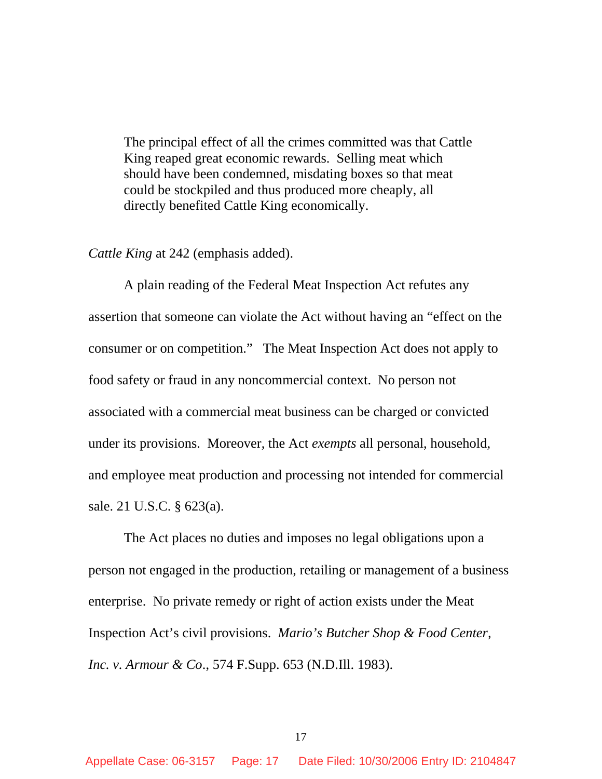The principal effect of all the crimes committed was that Cattle King reaped great economic rewards. Selling meat which should have been condemned, misdating boxes so that meat could be stockpiled and thus produced more cheaply, all directly benefited Cattle King economically.

#### *Cattle King* at 242 (emphasis added).

A plain reading of the Federal Meat Inspection Act refutes any assertion that someone can violate the Act without having an "effect on the consumer or on competition." The Meat Inspection Act does not apply to food safety or fraud in any noncommercial context. No person not associated with a commercial meat business can be charged or convicted under its provisions. Moreover, the Act *exempts* all personal, household, and employee meat production and processing not intended for commercial sale. 21 U.S.C. § 623(a).

The Act places no duties and imposes no legal obligations upon a person not engaged in the production, retailing or management of a business enterprise. No private remedy or right of action exists under the Meat Inspection Act's civil provisions. *Mario's Butcher Shop & Food Center, Inc. v. Armour & Co*., 574 F.Supp. 653 (N.D.Ill. 1983).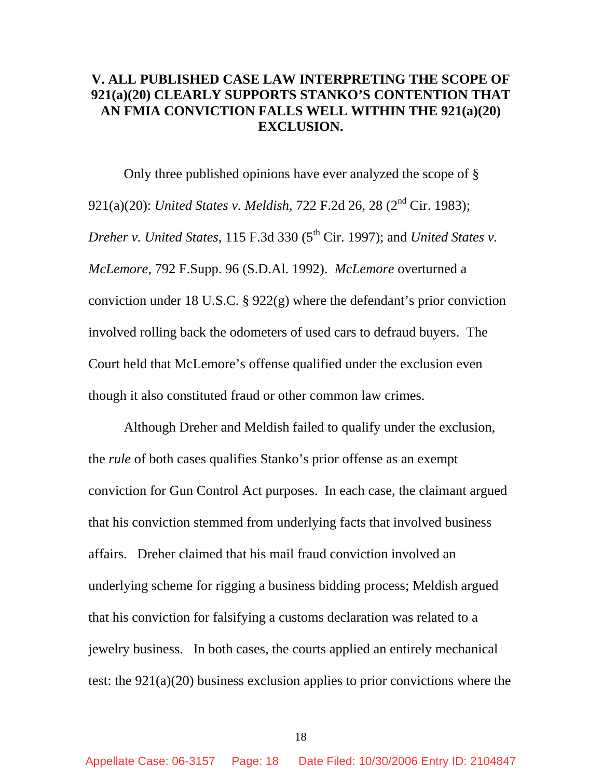## **V. ALL PUBLISHED CASE LAW INTERPRETING THE SCOPE OF 921(a)(20) CLEARLY SUPPORTS STANKO'S CONTENTION THAT AN FMIA CONVICTION FALLS WELL WITHIN THE 921(a)(20) EXCLUSION.**

 Only three published opinions have ever analyzed the scope of § 921(a)(20): *United States v. Meldish*, 722 F.2d 26, 28 (2nd Cir. 1983); *Dreher v. United States, 115 F.3d 330 (5<sup>th</sup> Cir. 1997); and <i>United States v. McLemore*, 792 F.Supp. 96 (S.D.Al. 1992). *McLemore* overturned a conviction under 18 U.S.C. § 922(g) where the defendant's prior conviction involved rolling back the odometers of used cars to defraud buyers. The Court held that McLemore's offense qualified under the exclusion even though it also constituted fraud or other common law crimes.

 Although Dreher and Meldish failed to qualify under the exclusion, the *rule* of both cases qualifies Stanko's prior offense as an exempt conviction for Gun Control Act purposes. In each case, the claimant argued that his conviction stemmed from underlying facts that involved business affairs. Dreher claimed that his mail fraud conviction involved an underlying scheme for rigging a business bidding process; Meldish argued that his conviction for falsifying a customs declaration was related to a jewelry business. In both cases, the courts applied an entirely mechanical test: the 921(a)(20) business exclusion applies to prior convictions where the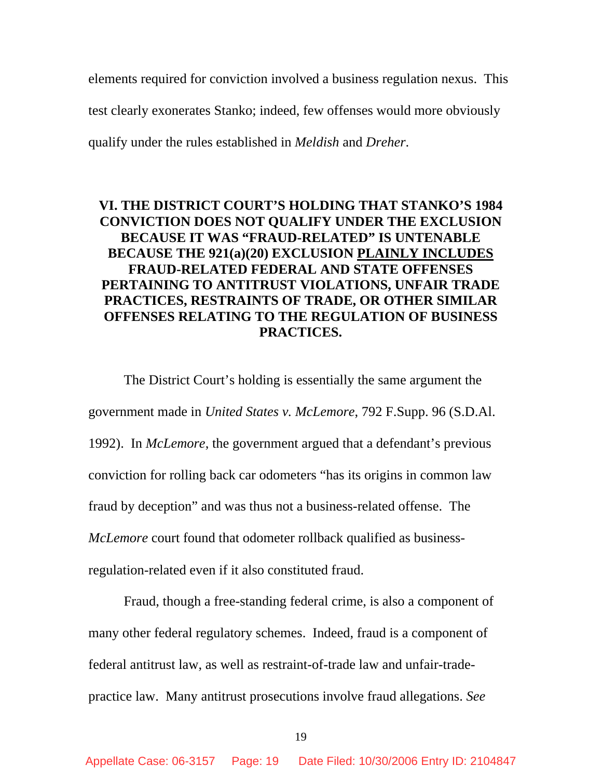elements required for conviction involved a business regulation nexus. This test clearly exonerates Stanko; indeed, few offenses would more obviously qualify under the rules established in *Meldish* and *Dreher*.

## **VI. THE DISTRICT COURT'S HOLDING THAT STANKO'S 1984 CONVICTION DOES NOT QUALIFY UNDER THE EXCLUSION BECAUSE IT WAS "FRAUD-RELATED" IS UNTENABLE BECAUSE THE 921(a)(20) EXCLUSION PLAINLY INCLUDES FRAUD-RELATED FEDERAL AND STATE OFFENSES PERTAINING TO ANTITRUST VIOLATIONS, UNFAIR TRADE PRACTICES, RESTRAINTS OF TRADE, OR OTHER SIMILAR OFFENSES RELATING TO THE REGULATION OF BUSINESS PRACTICES.**

 The District Court's holding is essentially the same argument the government made in *United States v. McLemore*, 792 F.Supp. 96 (S.D.Al. 1992). In *McLemore*, the government argued that a defendant's previous conviction for rolling back car odometers "has its origins in common law fraud by deception" and was thus not a business-related offense. The *McLemore* court found that odometer rollback qualified as businessregulation-related even if it also constituted fraud.

 Fraud, though a free-standing federal crime, is also a component of many other federal regulatory schemes. Indeed, fraud is a component of federal antitrust law, as well as restraint-of-trade law and unfair-tradepractice law. Many antitrust prosecutions involve fraud allegations. *See*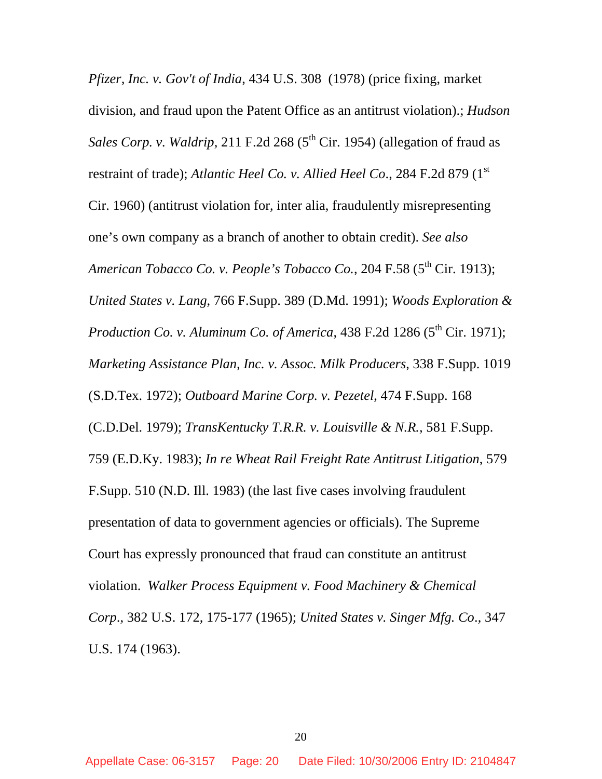*Pfizer, Inc. v. Gov't of India*, 434 U.S. 308 (1978) (price fixing, market division, and fraud upon the Patent Office as an antitrust violation).; *Hudson Sales Corp. v. Waldrip*, 211 F.2d 268 ( $5<sup>th</sup>$  Cir. 1954) (allegation of fraud as restraint of trade); *Atlantic Heel Co. v. Allied Heel Co.*, 284 F.2d 879 (1<sup>st</sup>) Cir. 1960) (antitrust violation for, inter alia, fraudulently misrepresenting one's own company as a branch of another to obtain credit). *See also American Tobacco Co. v. People's Tobacco Co.*, 204 F.58 (5<sup>th</sup> Cir. 1913); *United States v. Lang*, 766 F.Supp. 389 (D.Md. 1991); *Woods Exploration & Production Co. v. Aluminum Co. of America*, 438 F.2d 1286 (5<sup>th</sup> Cir. 1971); *Marketing Assistance Plan, Inc. v. Assoc. Milk Producers*, 338 F.Supp. 1019 (S.D.Tex. 1972); *Outboard Marine Corp. v. Pezetel*, 474 F.Supp. 168 (C.D.Del. 1979); *TransKentucky T.R.R. v. Louisville & N.R.,* 581 F.Supp. 759 (E.D.Ky. 1983); *In re Wheat Rail Freight Rate Antitrust Litigation*, 579 F.Supp. 510 (N.D. Ill. 1983) (the last five cases involving fraudulent presentation of data to government agencies or officials). The Supreme Court has expressly pronounced that fraud can constitute an antitrust violation. *Walker Process Equipment v. Food Machinery & Chemical Corp*., 382 U.S. 172, 175-177 (1965); *United States v. Singer Mfg. Co*., 347 U.S. 174 (1963).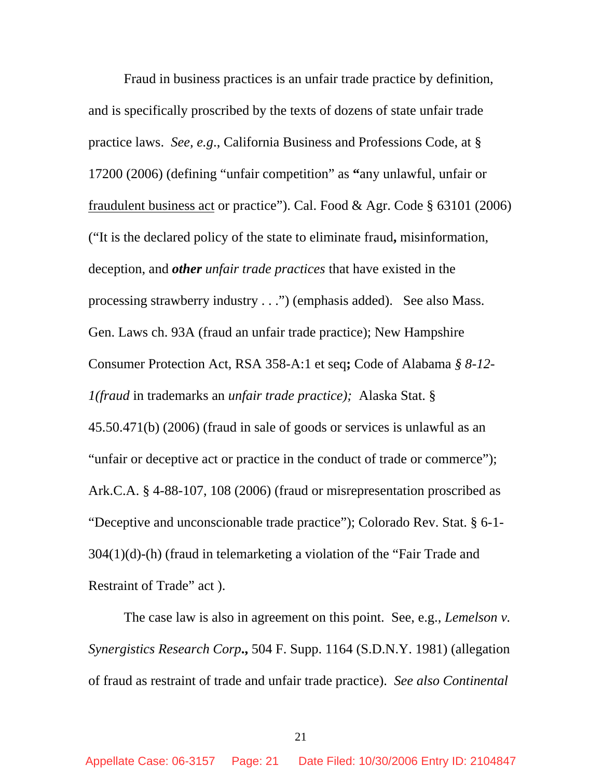Fraud in business practices is an unfair trade practice by definition, and is specifically proscribed by the texts of dozens of state unfair trade practice laws. *See, e.g*., California Business and Professions Code, at § 17200 (2006) (defining "unfair competition" as **"**any unlawful, unfair or fraudulent business act or practice"). Cal. Food & Agr. Code § 63101 (2006) ("It is the declared policy of the state to eliminate fraud**,** misinformation, deception, and *other unfair trade practices* that have existed in the processing strawberry industry . . .") (emphasis added). See also Mass. Gen. Laws ch. 93A (fraud an unfair trade practice); New Hampshire Consumer Protection Act, RSA 358-A:1 et seq**;** Code of Alabama *§ 8-12- 1(fraud* in trademarks an *unfair trade practice);* Alaska Stat. § 45.50.471(b) (2006) (fraud in sale of goods or services is unlawful as an "unfair or deceptive act or practice in the conduct of trade or commerce"); Ark.C.A. § 4-88-107, 108 (2006) (fraud or misrepresentation proscribed as "Deceptive and unconscionable trade practice"); Colorado Rev. Stat. § 6-1- 304(1)(d)-(h) (fraud in telemarketing a violation of the "Fair Trade and Restraint of Trade" act ).

The case law is also in agreement on this point. See, e.g., *Lemelson v. Synergistics Research Corp***.,** 504 F. Supp. 1164 (S.D.N.Y. 1981) (allegation of fraud as restraint of trade and unfair trade practice). *See also Continental*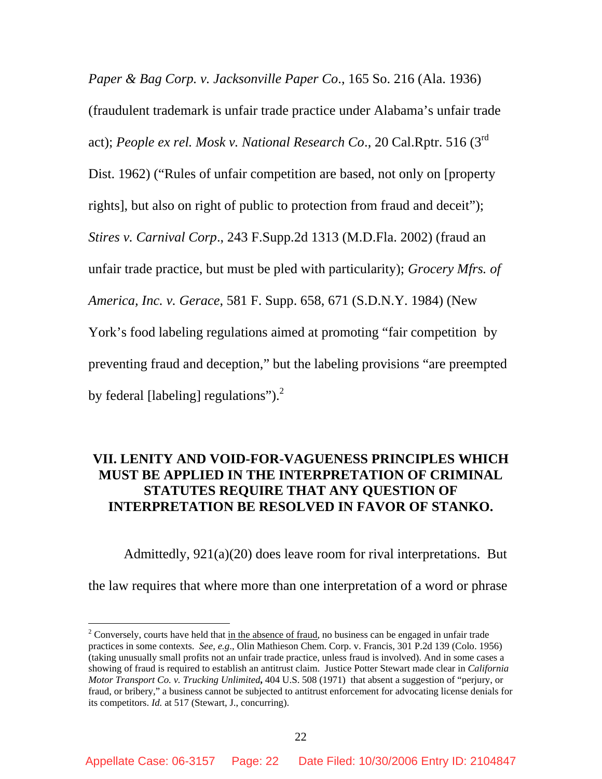*Paper & Bag Corp. v. Jacksonville Paper Co*., 165 So. 216 (Ala. 1936) (fraudulent trademark is unfair trade practice under Alabama's unfair trade act); *People ex rel. Mosk v. National Research Co*., 20 Cal.Rptr. 516 (3rd Dist. 1962) ("Rules of unfair competition are based, not only on [property rights], but also on right of public to protection from fraud and deceit"); *Stires v. Carnival Corp*., 243 F.Supp.2d 1313 (M.D.Fla. 2002) (fraud an unfair trade practice, but must be pled with particularity); *Grocery Mfrs. of America, Inc. v. Gerace*, 581 F. Supp. 658, 671 (S.D.N.Y. 1984) (New York's food labeling regulations aimed at promoting "fair competition by preventing fraud and deception," but the labeling provisions "are preempted by federal [labeling] regulations"). $<sup>2</sup>$ </sup>

## **VII. LENITY AND VOID-FOR-VAGUENESS PRINCIPLES WHICH MUST BE APPLIED IN THE INTERPRETATION OF CRIMINAL STATUTES REQUIRE THAT ANY QUESTION OF INTERPRETATION BE RESOLVED IN FAVOR OF STANKO.**

 Admittedly, 921(a)(20) does leave room for rival interpretations. But the law requires that where more than one interpretation of a word or phrase

 $\overline{a}$ 

<sup>&</sup>lt;sup>2</sup> Conversely, courts have held that in the absence of fraud, no business can be engaged in unfair trade practices in some contexts. *See, e.g*., Olin Mathieson Chem. Corp. v. Francis, 301 P.2d 139 (Colo. 1956) (taking unusually small profits not an unfair trade practice, unless fraud is involved). And in some cases a showing of fraud is required to establish an antitrust claim. Justice Potter Stewart made clear in *California Motor Transport Co. v. Trucking Unlimited***,** 404 U.S. 508 (1971) that absent a suggestion of "perjury, or fraud, or bribery," a business cannot be subjected to antitrust enforcement for advocating license denials for its competitors. *Id.* at 517 (Stewart, J., concurring).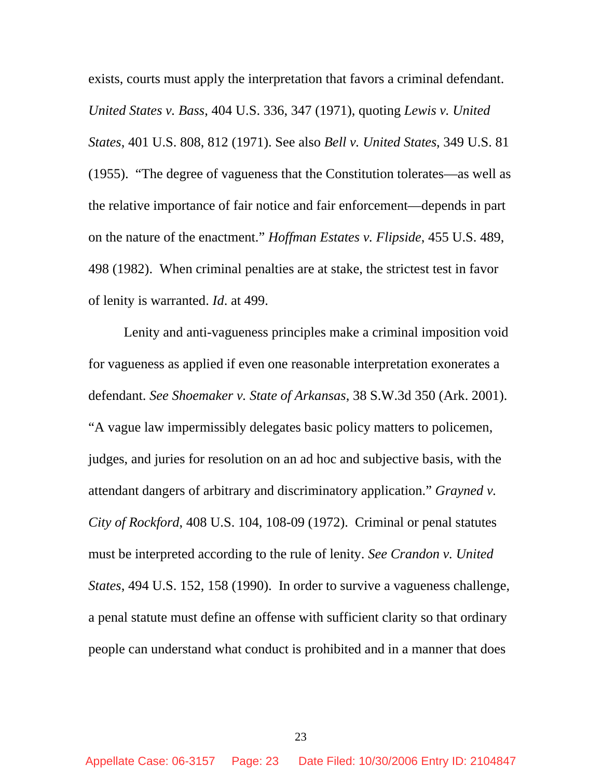exists, courts must apply the interpretation that favors a criminal defendant. *United States v. Bass*, 404 U.S. 336, 347 (1971), quoting *Lewis v. United States*, 401 U.S. 808, 812 (1971). See also *Bell v. United States*, 349 U.S. 81 (1955). "The degree of vagueness that the Constitution tolerates—as well as the relative importance of fair notice and fair enforcement—depends in part on the nature of the enactment." *Hoffman Estates v. Flipside*, 455 U.S. 489, 498 (1982). When criminal penalties are at stake, the strictest test in favor of lenity is warranted. *Id*. at 499.

Lenity and anti-vagueness principles make a criminal imposition void for vagueness as applied if even one reasonable interpretation exonerates a defendant. *See Shoemaker v. State of Arkansas*, 38 S.W.3d 350 (Ark. 2001). "A vague law impermissibly delegates basic policy matters to policemen, judges, and juries for resolution on an ad hoc and subjective basis, with the attendant dangers of arbitrary and discriminatory application." *Grayned v. City of Rockford*, 408 U.S. 104, 108-09 (1972). Criminal or penal statutes must be interpreted according to the rule of lenity. *See Crandon v. United States*, 494 U.S. 152, 158 (1990). In order to survive a vagueness challenge, a penal statute must define an offense with sufficient clarity so that ordinary people can understand what conduct is prohibited and in a manner that does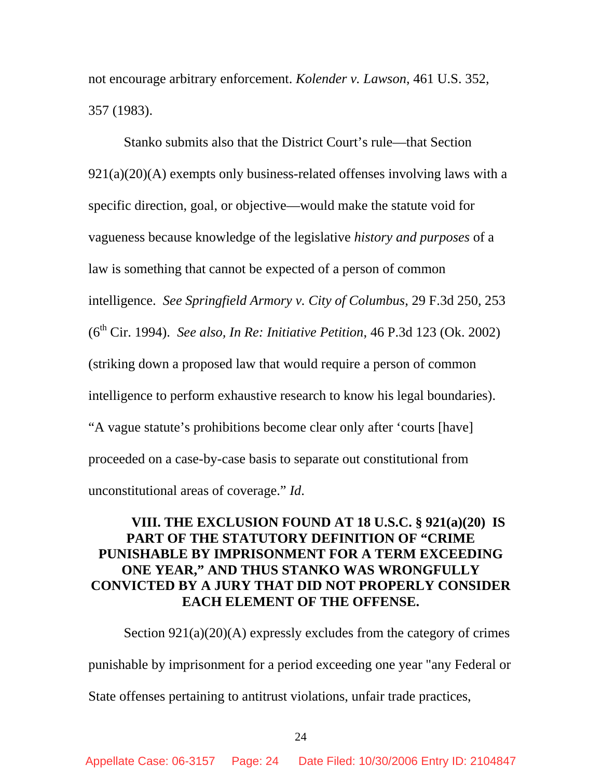not encourage arbitrary enforcement. *Kolender v. Lawson*, 461 U.S. 352, 357 (1983).

Stanko submits also that the District Court's rule—that Section  $921(a)(20)(A)$  exempts only business-related offenses involving laws with a specific direction, goal, or objective—would make the statute void for vagueness because knowledge of the legislative *history and purposes* of a law is something that cannot be expected of a person of common intelligence. *See Springfield Armory v. City of Columbus*, 29 F.3d 250, 253 (6th Cir. 1994). *See also, In Re: Initiative Petition*, 46 P.3d 123 (Ok. 2002) (striking down a proposed law that would require a person of common intelligence to perform exhaustive research to know his legal boundaries). "A vague statute's prohibitions become clear only after 'courts [have] proceeded on a case-by-case basis to separate out constitutional from unconstitutional areas of coverage." *Id*.

## **VIII. THE EXCLUSION FOUND AT 18 U.S.C. § 921(a)(20) IS PART OF THE STATUTORY DEFINITION OF "CRIME PUNISHABLE BY IMPRISONMENT FOR A TERM EXCEEDING ONE YEAR," AND THUS STANKO WAS WRONGFULLY CONVICTED BY A JURY THAT DID NOT PROPERLY CONSIDER EACH ELEMENT OF THE OFFENSE.**

Section 921(a)(20)(A) expressly excludes from the category of crimes punishable by imprisonment for a period exceeding one year "any Federal or State offenses pertaining to antitrust violations, unfair trade practices,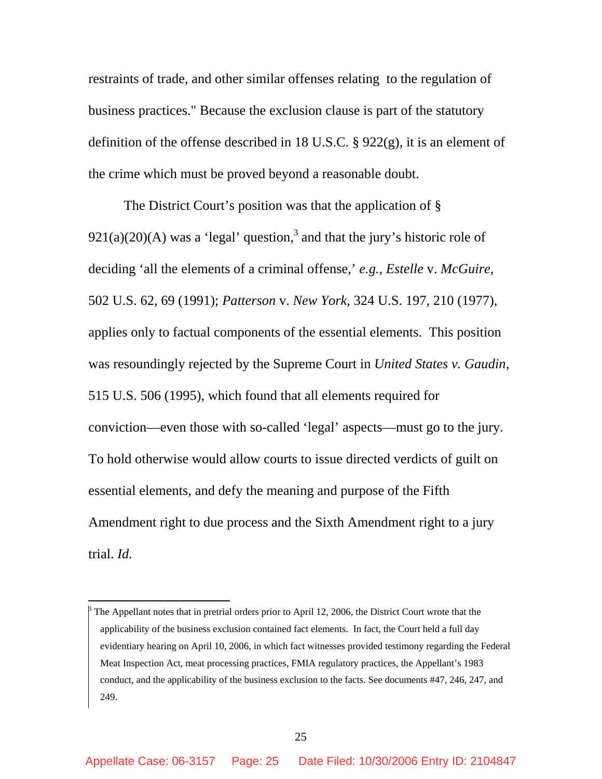restraints of trade, and other similar offenses relating to the regulation of business practices." Because the exclusion clause is part of the statutory definition of the offense described in 18 U.S.C. § 922(g), it is an element of the crime which must be proved beyond a reasonable doubt.

 The District Court's position was that the application of §  $921(a)(20)(A)$  was a 'legal' question,<sup>3</sup> and that the jury's historic role of deciding 'all the elements of a criminal offense,' *e.g., Estelle* v. *McGuire*, 502 U.S. 62, 69 (1991); *Patterson* v. *New York*, 324 U.S. 197, 210 (1977), applies only to factual components of the essential elements. This position was resoundingly rejected by the Supreme Court in *United States v. Gaudin*, 515 U.S. 506 (1995), which found that all elements required for conviction—even those with so-called 'legal' aspects—must go to the jury. To hold otherwise would allow courts to issue directed verdicts of guilt on essential elements, and defy the meaning and purpose of the Fifth Amendment right to due process and the Sixth Amendment right to a jury trial. *Id.*

 $\overline{a}$ 

<sup>3</sup> The Appellant notes that in pretrial orders prior to April 12, 2006, the District Court wrote that the applicability of the business exclusion contained fact elements. In fact, the Court held a full day evidentiary hearing on April 10, 2006, in which fact witnesses provided testimony regarding the Federal Meat Inspection Act, meat processing practices, FMIA regulatory practices, the Appellant's 1983 conduct, and the applicability of the business exclusion to the facts. See documents #47, 246, 247, and 249.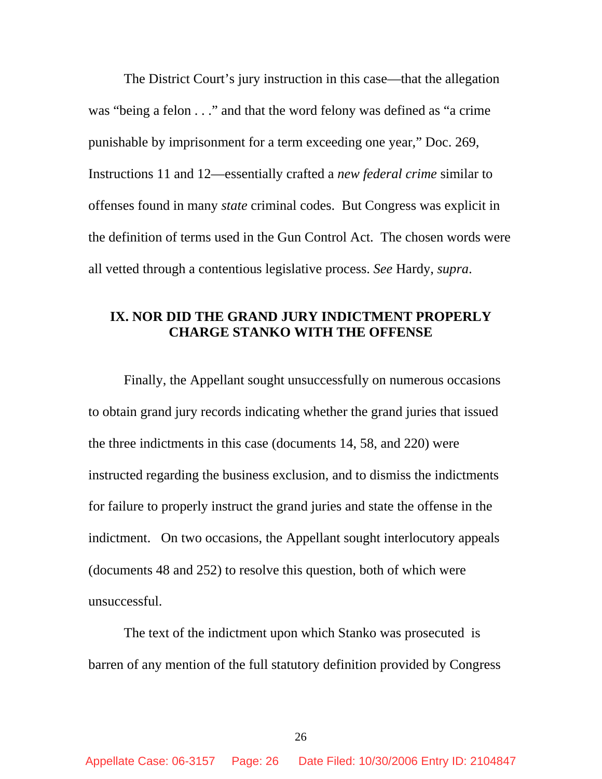The District Court's jury instruction in this case—that the allegation was "being a felon . . ." and that the word felony was defined as "a crime punishable by imprisonment for a term exceeding one year," Doc. 269, Instructions 11 and 12—essentially crafted a *new federal crime* similar to offenses found in many *state* criminal codes. But Congress was explicit in the definition of terms used in the Gun Control Act. The chosen words were all vetted through a contentious legislative process. *See* Hardy, *supra*.

## **IX. NOR DID THE GRAND JURY INDICTMENT PROPERLY CHARGE STANKO WITH THE OFFENSE**

 Finally, the Appellant sought unsuccessfully on numerous occasions to obtain grand jury records indicating whether the grand juries that issued the three indictments in this case (documents 14, 58, and 220) were instructed regarding the business exclusion, and to dismiss the indictments for failure to properly instruct the grand juries and state the offense in the indictment. On two occasions, the Appellant sought interlocutory appeals (documents 48 and 252) to resolve this question, both of which were unsuccessful.

The text of the indictment upon which Stanko was prosecuted is barren of any mention of the full statutory definition provided by Congress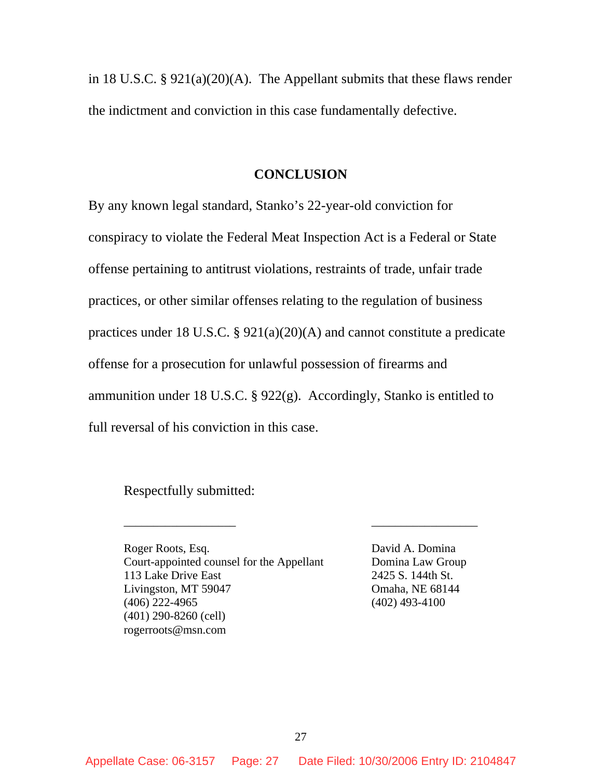in 18 U.S.C. § 921(a)(20)(A). The Appellant submits that these flaws render the indictment and conviction in this case fundamentally defective.

#### **CONCLUSION**

By any known legal standard, Stanko's 22-year-old conviction for conspiracy to violate the Federal Meat Inspection Act is a Federal or State offense pertaining to antitrust violations, restraints of trade, unfair trade practices, or other similar offenses relating to the regulation of business practices under 18 U.S.C. § 921(a)(20)(A) and cannot constitute a predicate offense for a prosecution for unlawful possession of firearms and ammunition under 18 U.S.C. § 922(g). Accordingly, Stanko is entitled to full reversal of his conviction in this case.

Respectfully submitted:

Roger Roots, Esq. David A. Domina Court-appointed counsel for the Appellant Domina Law Group 113 Lake Drive East 2425 S. 144th St. Livingston, MT 59047 Omaha, NE 68144 (406) 222-4965 (402) 493-4100 (401) 290-8260 (cell) rogerroots@msn.com

\_\_\_\_\_\_\_\_\_\_\_\_\_\_\_\_\_\_\_ \_\_\_\_\_\_\_\_\_\_\_\_\_\_\_\_\_\_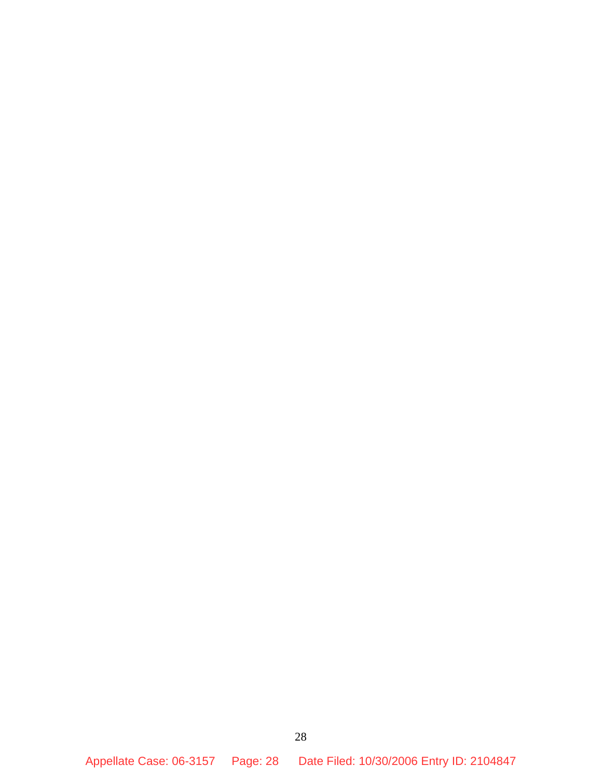Appellate Case: 06-3157 Page: 28 Date Filed: 10/30/2006 Entry ID: 2104847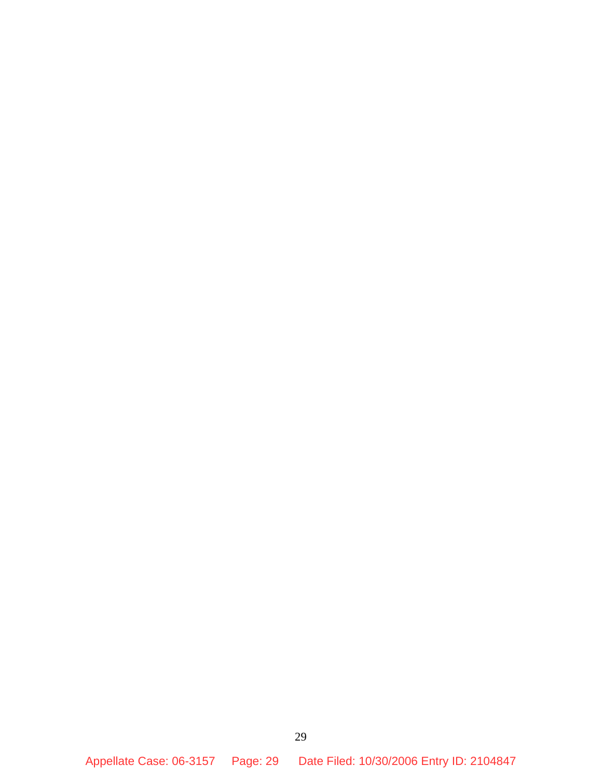Appellate Case: 06-3157 Page: 29 Date Filed: 10/30/2006 Entry ID: 2104847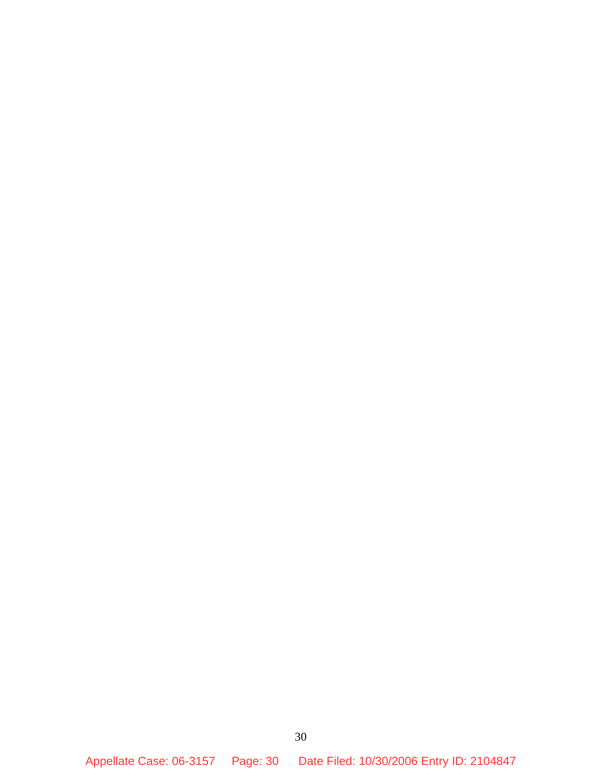Appellate Case: 06-3157 Page: 30 Date Filed: 10/30/2006 Entry ID: 2104847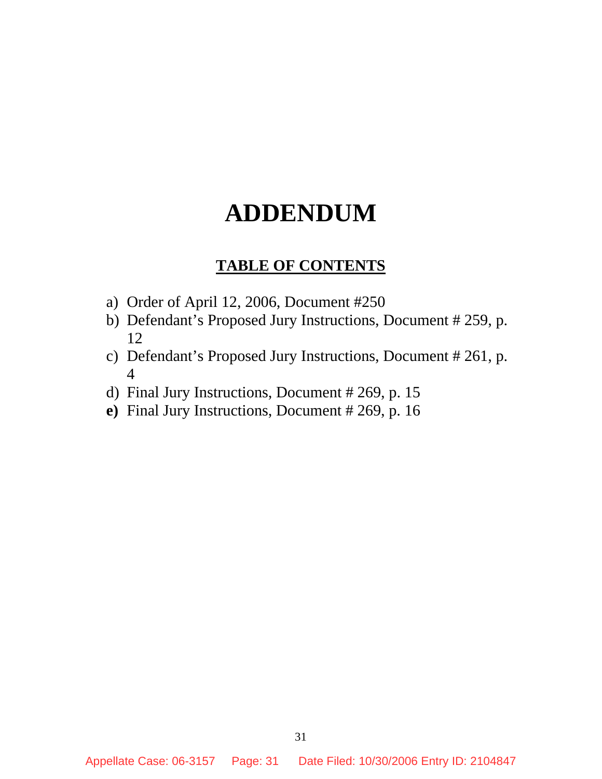# **ADDENDUM**

## **TABLE OF CONTENTS**

- a) Order of April 12, 2006, Document #250
- b) Defendant's Proposed Jury Instructions, Document # 259, p. 12
- c) Defendant's Proposed Jury Instructions, Document # 261, p. 4
- d) Final Jury Instructions, Document # 269, p. 15
- **e)** Final Jury Instructions, Document # 269, p. 16